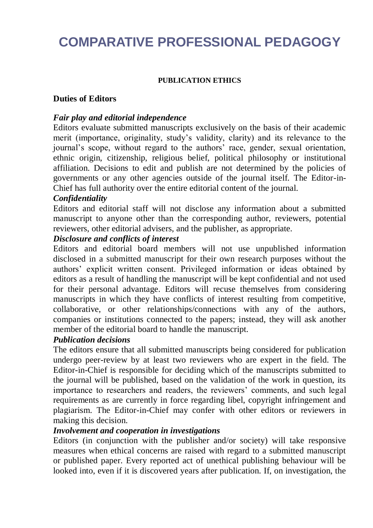# **COMPARATIVE PROFESSIONAL PEDAGOGY**

#### **PUBLICATION ETHICS**

#### **Duties of Editors**

#### *Fair play and editorial independence*

Editors evaluate submitted manuscripts exclusively on the basis of their academic merit (importance, originality, study's validity, clarity) and its relevance to the journal's scope, without regard to the authors' race, gender, sexual orientation, ethnic origin, citizenship, religious belief, political philosophy or institutional affiliation. Decisions to edit and publish are not determined by the policies of governments or any other agencies outside of the journal itself. The Editor-in-Chief has full authority over the entire editorial content of the journal.

#### *Confidentiality*

Editors and editorial staff will not disclose any information about a submitted manuscript to anyone other than the corresponding author, reviewers, potential reviewers, other editorial advisers, and the publisher, as appropriate.

#### *Disclosure and conflicts of interest*

Editors and editorial board members will not use unpublished information disclosed in a submitted manuscript for their own research purposes without the authors' explicit written consent. Privileged information or ideas obtained by editors as a result of handling the manuscript will be kept confidential and not used for their personal advantage. Editors will recuse themselves from considering manuscripts in which they have conflicts of interest resulting from competitive, collaborative, or other relationships/connections with any of the authors, companies or institutions connected to the papers; instead, they will ask another member of the editorial board to handle the manuscript.

### *Publication decisions*

The editors ensure that all submitted manuscripts being considered for publication undergo peer-review by at least two reviewers who are expert in the field. The Editor-in-Chief is responsible for deciding which of the manuscripts submitted to the journal will be published, based on the validation of the work in question, its importance to researchers and readers, the reviewers' comments, and such legal requirements as are currently in force regarding libel, copyright infringement and plagiarism. The Editor-in-Chief may confer with other editors or reviewers in making this decision.

#### *Involvement and cooperation in investigations*

Editors (in conjunction with the publisher and/or society) will take responsive measures when ethical concerns are raised with regard to a submitted manuscript or published paper. Every reported act of unethical publishing behaviour will be looked into, even if it is discovered years after publication. If, on investigation, the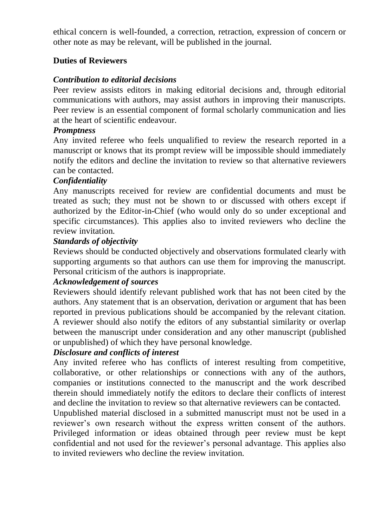ethical concern is well-founded, a correction, retraction, expression of concern or other note as may be relevant, will be published in the journal.

# **Duties of Reviewers**

## *Contribution to editorial decisions*

Peer review assists editors in making editorial decisions and, through editorial communications with authors, may assist authors in improving their manuscripts. Peer review is an essential component of formal scholarly communication and lies at the heart of scientific endeavour.

#### *Promptness*

Any invited referee who feels unqualified to review the research reported in a manuscript or knows that its prompt review will be impossible should immediately notify the editors and decline the invitation to review so that alternative reviewers can be contacted.

#### *Confidentiality*

Any manuscripts received for review are confidential documents and must be treated as such; they must not be shown to or discussed with others except if authorized by the Editor-in-Chief (who would only do so under exceptional and specific circumstances). This applies also to invited reviewers who decline the review invitation.

#### *Standards of objectivity*

Reviews should be conducted objectively and observations formulated clearly with supporting arguments so that authors can use them for improving the manuscript. Personal criticism of the authors is inappropriate.

#### *Acknowledgement of sources*

Reviewers should identify relevant published work that has not been cited by the authors. Any statement that is an observation, derivation or argument that has been reported in previous publications should be accompanied by the relevant citation. A reviewer should also notify the editors of any substantial similarity or overlap between the manuscript under consideration and any other manuscript (published or unpublished) of which they have personal knowledge.

## *Disclosure and conflicts of interest*

Any invited referee who has conflicts of interest resulting from competitive, collaborative, or other relationships or connections with any of the authors, companies or institutions connected to the manuscript and the work described therein should immediately notify the editors to declare their conflicts of interest and decline the invitation to review so that alternative reviewers can be contacted.

Unpublished material disclosed in a submitted manuscript must not be used in a reviewer's own research without the express written consent of the authors. Privileged information or ideas obtained through peer review must be kept confidential and not used for the reviewer's personal advantage. This applies also to invited reviewers who decline the review invitation.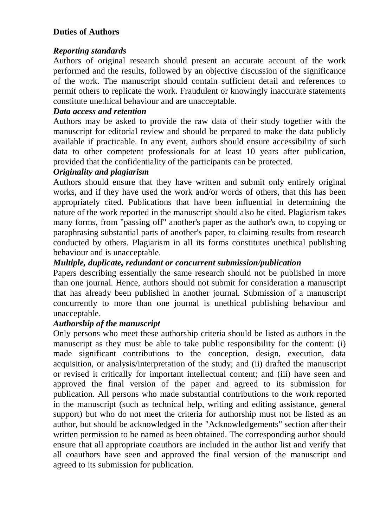# **Duties of Authors**

# *Reporting standards*

Authors of original research should present an accurate account of the work performed and the results, followed by an objective discussion of the significance of the work. The manuscript should contain sufficient detail and references to permit others to replicate the work. Fraudulent or knowingly inaccurate statements constitute unethical behaviour and are unacceptable.

# *Data access and retention*

Authors may be asked to provide the raw data of their study together with the manuscript for editorial review and should be prepared to make the data publicly available if practicable. In any event, authors should ensure accessibility of such data to other competent professionals for at least 10 years after publication, provided that the confidentiality of the participants can be protected.

# *Originality and plagiarism*

Authors should ensure that they have written and submit only entirely original works, and if they have used the work and/or words of others, that this has been appropriately cited. Publications that have been influential in determining the nature of the work reported in the manuscript should also be cited. Plagiarism takes many forms, from "passing off" another's paper as the author's own, to copying or paraphrasing substantial parts of another's paper, to claiming results from research conducted by others. Plagiarism in all its forms constitutes unethical publishing behaviour and is unacceptable.

# *Multiple, duplicate, redundant or concurrent submission/publication*

Papers describing essentially the same research should not be published in more than one journal. Hence, authors should not submit for consideration a manuscript that has already been published in another journal. Submission of a manuscript concurrently to more than one journal is unethical publishing behaviour and unacceptable.

## *Authorship of the manuscript*

Only persons who meet these authorship criteria should be listed as authors in the manuscript as they must be able to take public responsibility for the content: (i) made significant contributions to the conception, design, execution, data acquisition, or analysis/interpretation of the study; and (ii) drafted the manuscript or revised it critically for important intellectual content; and (iii) have seen and approved the final version of the paper and agreed to its submission for publication. All persons who made substantial contributions to the work reported in the manuscript (such as technical help, writing and editing assistance, general support) but who do not meet the criteria for authorship must not be listed as an author, but should be acknowledged in the "Acknowledgements" section after their written permission to be named as been obtained. The corresponding author should ensure that all appropriate coauthors are included in the author list and verify that all coauthors have seen and approved the final version of the manuscript and agreed to its submission for publication.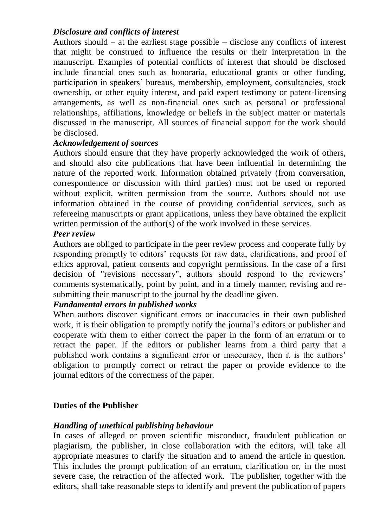# *Disclosure and conflicts of interest*

Authors should  $-$  at the earliest stage possible  $-$  disclose any conflicts of interest that might be construed to influence the results or their interpretation in the manuscript. Examples of potential conflicts of interest that should be disclosed include financial ones such as honoraria, educational grants or other funding, participation in speakers' bureaus, membership, employment, consultancies, stock ownership, or other equity interest, and paid expert testimony or patent-licensing arrangements, as well as non-financial ones such as personal or professional relationships, affiliations, knowledge or beliefs in the subject matter or materials discussed in the manuscript. All sources of financial support for the work should be disclosed.

## *Acknowledgement of sources*

Authors should ensure that they have properly acknowledged the work of others, and should also cite publications that have been influential in determining the nature of the reported work. Information obtained privately (from conversation, correspondence or discussion with third parties) must not be used or reported without explicit, written permission from the source. Authors should not use information obtained in the course of providing confidential services, such as refereeing manuscripts or grant applications, unless they have obtained the explicit written permission of the author(s) of the work involved in these services.

#### *Peer review*

Authors are obliged to participate in the peer review process and cooperate fully by responding promptly to editors' requests for raw data, clarifications, and proof of ethics approval, patient consents and copyright permissions. In the case of a first decision of "revisions necessary", authors should respond to the reviewers' comments systematically, point by point, and in a timely manner, revising and resubmitting their manuscript to the journal by the deadline given.

## *Fundamental errors in published works*

When authors discover significant errors or inaccuracies in their own published work, it is their obligation to promptly notify the journal's editors or publisher and cooperate with them to either correct the paper in the form of an erratum or to retract the paper. If the editors or publisher learns from a third party that a published work contains a significant error or inaccuracy, then it is the authors' obligation to promptly correct or retract the paper or provide evidence to the journal editors of the correctness of the paper.

## **Duties of the Publisher**

## *Handling of unethical publishing behaviour*

In cases of alleged or proven scientific misconduct, fraudulent publication or plagiarism, the publisher, in close collaboration with the editors, will take all appropriate measures to clarify the situation and to amend the article in question. This includes the prompt publication of an erratum, clarification or, in the most severe case, the retraction of the affected work. The publisher, together with the editors, shall take reasonable steps to identify and prevent the publication of papers